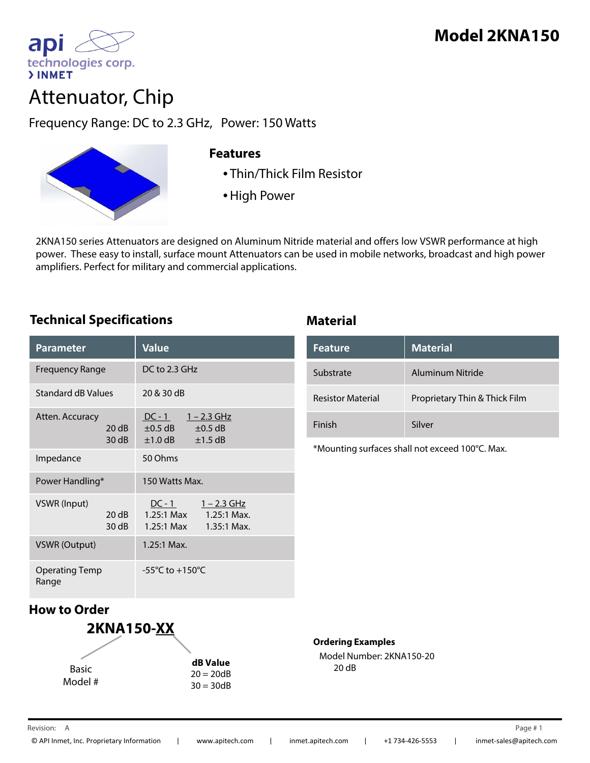

# Attenuator, Chip

Frequency Range: DC to 2.3 GHz, Power: 150 Watts



### **Features**

- Thin/Thick Film Resistor
- High Power

2KNA150 series Attenuators are designed on Aluminum Nitride material and offers low VSWR performance at high power. These easy to install, surface mount Attenuators can be used in mobile networks, broadcast and high power amplifiers. Perfect for military and commercial applications.

## **Technical Specifications Material**

| <b>Parameter</b>               |                | <b>Value</b>                                                                            |
|--------------------------------|----------------|-----------------------------------------------------------------------------------------|
| <b>Frequency Range</b>         |                | DC to 2.3 GHz                                                                           |
| <b>Standard dB Values</b>      |                | 20 & 30 dB                                                                              |
| Atten. Accuracy                | 20dB<br>30dB   | $DC - 1$ $1 - 2.3 GHz$<br>$\pm 0.5$ dB<br>$\pm 0.5$ dB<br>$\pm 1.0$ dB<br>$\pm$ 1.5 dB  |
| Impedance                      |                | 50 Ohms                                                                                 |
| Power Handling*                |                | 150 Watts Max                                                                           |
| VSWR (Input)                   | 20 dB<br>30 dB | $DC - 1$<br><u>1 – 2.3 GHz</u><br>1.25:1 Max 1.25:1 Max.<br>1.25:1 Max<br>$1.35:1$ Max. |
| <b>VSWR (Output)</b>           |                | $1.25:1$ Max.                                                                           |
| <b>Operating Temp</b><br>Range |                | $-55^{\circ}$ C to $+150^{\circ}$ C                                                     |

| <b>Feature</b>           | <b>Material</b>               |
|--------------------------|-------------------------------|
| Substrate                | Aluminum Nitride              |
| <b>Resistor Material</b> | Proprietary Thin & Thick Film |
| Finish                   | Silver                        |

\*Mounting surfaces shall not exceed 100°C. Max.

# **How to Order**



**Ordering Examples**

Model Number: 2KNA150-20 20 dB 20